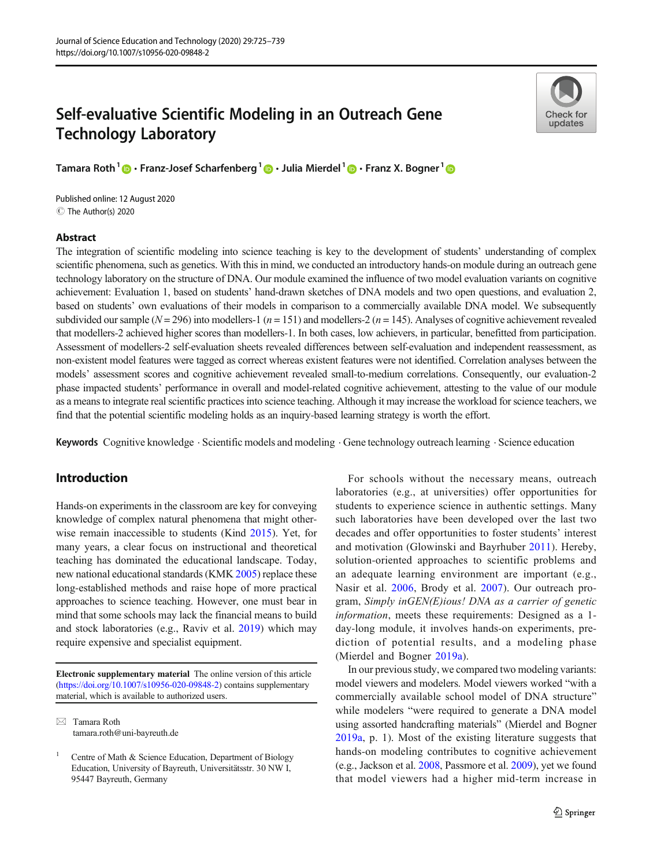# Self-evaluative Scientific Modeling in an Outreach Gene Technology Laboratory

Check for undates

Tamara Roth<sup>1</sup>  $\cdot$  Franz-Josef Scharfenberg<sup>1</sup>  $\cdot$  Julia Mierdel<sup>1</sup>  $\cdot$  Franz X. Bogner<sup>1</sup>  $\cdot$ 

C The Author(s) 2020 Published online: 12 August 2020

#### Abstract

The integration of scientific modeling into science teaching is key to the development of students' understanding of complex scientific phenomena, such as genetics. With this in mind, we conducted an introductory hands-on module during an outreach gene technology laboratory on the structure of DNA. Our module examined the influence of two model evaluation variants on cognitive achievement: Evaluation 1, based on students' hand-drawn sketches of DNA models and two open questions, and evaluation 2, based on students' own evaluations of their models in comparison to a commercially available DNA model. We subsequently subdivided our sample ( $N = 296$ ) into modellers-1 ( $n = 151$ ) and modellers-2 ( $n = 145$ ). Analyses of cognitive achievement revealed that modellers-2 achieved higher scores than modellers-1. In both cases, low achievers, in particular, benefitted from participation. Assessment of modellers-2 self-evaluation sheets revealed differences between self-evaluation and independent reassessment, as non-existent model features were tagged as correct whereas existent features were not identified. Correlation analyses between the models' assessment scores and cognitive achievement revealed small-to-medium correlations. Consequently, our evaluation-2 phase impacted students' performance in overall and model-related cognitive achievement, attesting to the value of our module as a means to integrate real scientific practices into science teaching. Although it may increase the workload for science teachers, we find that the potential scientific modeling holds as an inquiry-based learning strategy is worth the effort.

Keywords Cognitive knowledge . Scientific models and modeling . Gene technology outreach learning . Science education

# Introduction

Hands-on experiments in the classroom are key for conveying knowledge of complex natural phenomena that might otherwise remain inaccessible to students (Kind [2015](#page-13-0)). Yet, for many years, a clear focus on instructional and theoretical teaching has dominated the educational landscape. Today, new national educational standards (KMK [2005\)](#page-13-0) replace these long-established methods and raise hope of more practical approaches to science teaching. However, one must bear in mind that some schools may lack the financial means to build and stock laboratories (e.g., Raviv et al. [2019](#page-14-0)) which may require expensive and specialist equipment.

Electronic supplementary material The online version of this article ([https://doi.org/10.1007/s10956-020-09848-2\)](https://doi.org/10.1007/s10956-020-09848-2) contains supplementary material, which is available to authorized users.

 $\boxtimes$  Tamara Roth [tamara.roth@uni-bayreuth.de](mailto:tamara.roth@uni-bayreuth.de)

For schools without the necessary means, outreach laboratories (e.g., at universities) offer opportunities for students to experience science in authentic settings. Many such laboratories have been developed over the last two decades and offer opportunities to foster students' interest and motivation (Glowinski and Bayrhuber [2011](#page-13-0)). Hereby, solution-oriented approaches to scientific problems and an adequate learning environment are important (e.g., Nasir et al. [2006,](#page-14-0) Brody et al. [2007](#page-13-0)). Our outreach program, Simply inGEN(E)ious! DNA as a carrier of genetic information, meets these requirements: Designed as a 1 day-long module, it involves hands-on experiments, prediction of potential results, and a modeling phase (Mierdel and Bogner [2019a](#page-14-0)).

In our previous study, we compared two modeling variants: model viewers and modelers. Model viewers worked "with a commercially available school model of DNA structure" while modelers "were required to generate a DNA model using assorted handcrafting materials" (Mierdel and Bogner [2019a,](#page-14-0) p. 1). Most of the existing literature suggests that hands-on modeling contributes to cognitive achievement (e.g., Jackson et al. [2008](#page-13-0), Passmore et al. [2009\)](#page-14-0), yet we found that model viewers had a higher mid-term increase in

Centre of Math & Science Education, Department of Biology Education, University of Bayreuth, Universitätsstr. 30 NW I, 95447 Bayreuth, Germany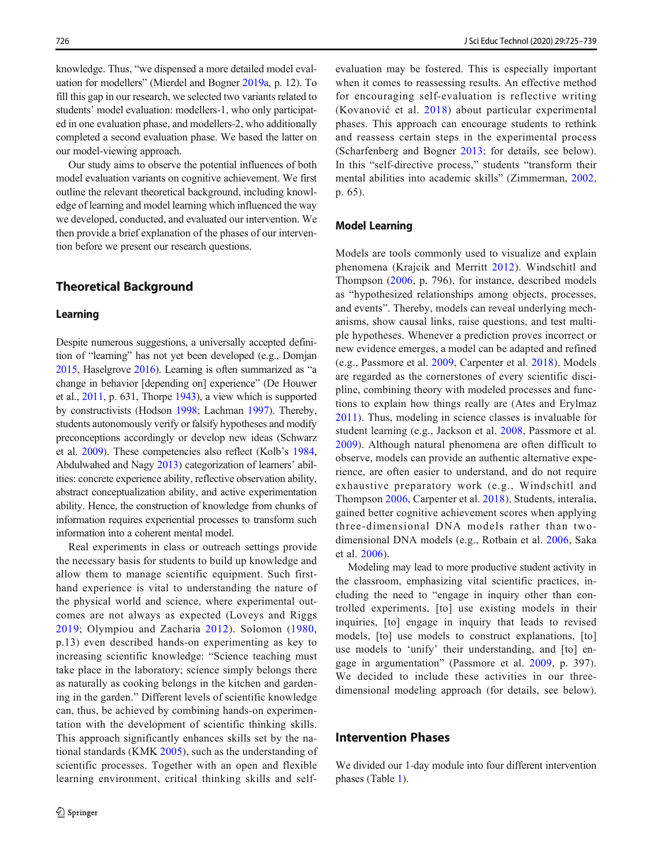knowledge. Thus, "we dispensed a more detailed model evaluation for modellers" (Mierdel and Bogner [2019a](#page-14-0), p. 12). To fill this gap in our research, we selected two variants related to students' model evaluation: modellers-1, who only participated in one evaluation phase, and modellers-2, who additionally completed a second evaluation phase. We based the latter on our model-viewing approach.

Our study aims to observe the potential influences of both model evaluation variants on cognitive achievement. We first outline the relevant theoretical background, including knowledge of learning and model learning which influenced the way we developed, conducted, and evaluated our intervention. We then provide a brief explanation of the phases of our intervention before we present our research questions.

# Theoretical Background

#### Learning

Despite numerous suggestions, a universally accepted definition of "learning" has not yet been developed (e.g., Domjan [2015](#page-13-0), Haselgrove [2016\)](#page-13-0). Learning is often summarized as "a change in behavior [depending on] experience" (De Houwer et al., [2011](#page-13-0), p. 631, Thorpe [1943](#page-14-0)), a view which is supported by constructivists (Hodson [1998;](#page-13-0) Lachman [1997](#page-13-0)). Thereby, students autonomously verify or falsify hypotheses and modify preconceptions accordingly or develop new ideas (Schwarz et al. [2009](#page-14-0)). These competencies also reflect (Kolb's [1984,](#page-13-0) Abdulwahed and Nagy [2013\)](#page-13-0) categorization of learners' abilities: concrete experience ability, reflective observation ability, abstract conceptualization ability, and active experimentation ability. Hence, the construction of knowledge from chunks of information requires experiential processes to transform such information into a coherent mental model.

Real experiments in class or outreach settings provide the necessary basis for students to build up knowledge and allow them to manage scientific equipment. Such firsthand experience is vital to understanding the nature of the physical world and science, where experimental outcomes are not always as expected (Loveys and Riggs [2019](#page-14-0); Olympiou and Zacharia [2012\)](#page-14-0). Solomon ([1980,](#page-14-0) p.13) even described hands-on experimenting as key to increasing scientific knowledge: "Science teaching must take place in the laboratory; science simply belongs there as naturally as cooking belongs in the kitchen and gardening in the garden." Different levels of scientific knowledge can, thus, be achieved by combining hands-on experimentation with the development of scientific thinking skills. This approach significantly enhances skills set by the national standards (KMK [2005](#page-13-0)), such as the understanding of scientific processes. Together with an open and flexible learning environment, critical thinking skills and self-

evaluation may be fostered. This is especially important when it comes to reassessing results. An effective method for encouraging self-evaluation is reflective writing (Kovanović et al. [2018](#page-13-0)) about particular experimental phases. This approach can encourage students to rethink and reassess certain steps in the experimental process (Scharfenberg and Bogner [2013;](#page-14-0) for details, see below). In this "self-directive process," students "transform their mental abilities into academic skills" (Zimmerman, [2002,](#page-14-0) p. 65).

## Model Learning

Models are tools commonly used to visualize and explain phenomena (Krajcik and Merritt [2012\)](#page-13-0). Windschitl and Thompson [\(2006,](#page-14-0) p. 796), for instance, described models as "hypothesized relationships among objects, processes, and events". Thereby, models can reveal underlying mechanisms, show causal links, raise questions, and test multiple hypotheses. Whenever a prediction proves incorrect or new evidence emerges, a model can be adapted and refined (e.g., Passmore et al. [2009](#page-14-0), Carpenter et al. [2018](#page-13-0)). Models are regarded as the cornerstones of every scientific discipline, combining theory with modeled processes and functions to explain how things really are (Ates and Erylmaz [2011](#page-13-0)). Thus, modeling in science classes is invaluable for student learning (e.g., Jackson et al. [2008,](#page-13-0) Passmore et al. [2009](#page-14-0)). Although natural phenomena are often difficult to observe, models can provide an authentic alternative experience, are often easier to understand, and do not require exhaustive preparatory work (e.g., Windschitl and Thompson [2006](#page-14-0), Carpenter et al. [2018\)](#page-13-0). Students, interalia, gained better cognitive achievement scores when applying three-dimensional DNA models rather than twodimensional DNA models (e.g., Rotbain et al. [2006,](#page-14-0) Saka et al. [2006\)](#page-14-0).

Modeling may lead to more productive student activity in the classroom, emphasizing vital scientific practices, including the need to "engage in inquiry other than controlled experiments, [to] use existing models in their inquiries, [to] engage in inquiry that leads to revised models, [to] use models to construct explanations, [to] use models to 'unify' their understanding, and [to] engage in argumentation" (Passmore et al. [2009,](#page-14-0) p. 397). We decided to include these activities in our threedimensional modeling approach (for details, see below).

# Intervention Phases

We divided our 1-day module into four different intervention phases (Table [1](#page-2-0)).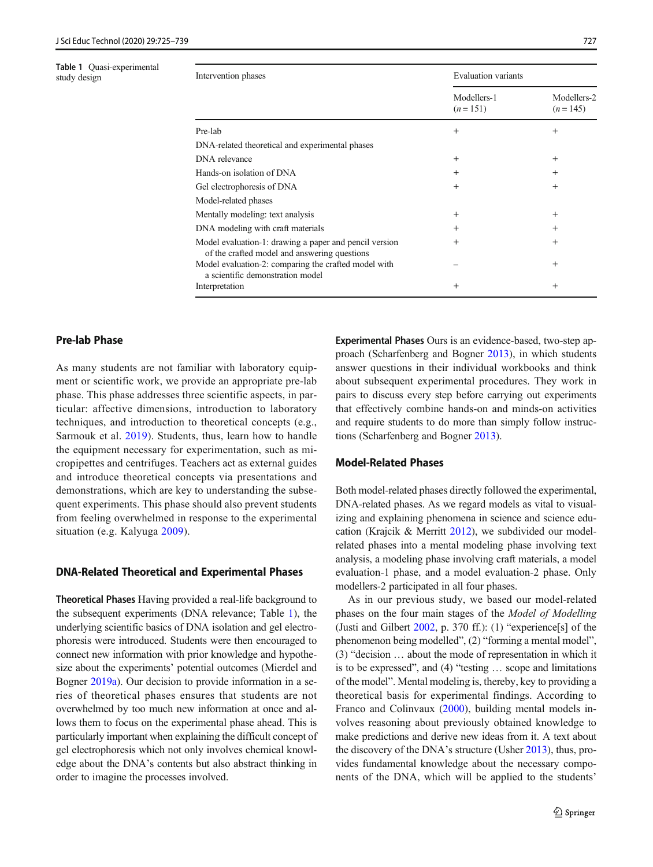<span id="page-2-0"></span>Table 1 Quasi-experimental

| <b>Table 1</b> Quasi-experimental<br>study design | Intervention phases                                                                                    |                          | <b>Evaluation variants</b> |  |  |  |  |  |
|---------------------------------------------------|--------------------------------------------------------------------------------------------------------|--------------------------|----------------------------|--|--|--|--|--|
|                                                   |                                                                                                        | Modellers-1<br>$(n=151)$ | Modellers-2<br>$(n=145)$   |  |  |  |  |  |
|                                                   | Pre-lab                                                                                                | $^{+}$                   | $^{+}$                     |  |  |  |  |  |
|                                                   | DNA-related theoretical and experimental phases                                                        |                          |                            |  |  |  |  |  |
|                                                   | DNA relevance                                                                                          | $^{+}$                   | $^{+}$                     |  |  |  |  |  |
|                                                   | Hands-on isolation of DNA                                                                              | $\pm$                    | $\mathrm{+}$               |  |  |  |  |  |
|                                                   | Gel electrophoresis of DNA                                                                             | $^{+}$                   | $\mathrm{+}$               |  |  |  |  |  |
|                                                   | Model-related phases                                                                                   |                          |                            |  |  |  |  |  |
|                                                   | Mentally modeling: text analysis                                                                       | $^{+}$                   | $^{+}$                     |  |  |  |  |  |
|                                                   | DNA modeling with craft materials                                                                      | $\pm$                    | $^{+}$                     |  |  |  |  |  |
|                                                   | Model evaluation-1: drawing a paper and pencil version<br>of the crafted model and answering questions | $^{+}$                   | $^{+}$                     |  |  |  |  |  |
|                                                   | Model evaluation-2: comparing the crafted model with<br>a scientific demonstration model               |                          | $^{+}$                     |  |  |  |  |  |
|                                                   | Interpretation                                                                                         | $^{+}$                   | $^{+}$                     |  |  |  |  |  |

# Pre-lab Phase

As many students are not familiar with laboratory equipment or scientific work, we provide an appropriate pre-lab phase. This phase addresses three scientific aspects, in particular: affective dimensions, introduction to laboratory techniques, and introduction to theoretical concepts (e.g., Sarmouk et al. [2019\)](#page-14-0). Students, thus, learn how to handle the equipment necessary for experimentation, such as micropipettes and centrifuges. Teachers act as external guides and introduce theoretical concepts via presentations and demonstrations, which are key to understanding the subsequent experiments. This phase should also prevent students from feeling overwhelmed in response to the experimental situation (e.g. Kalyuga [2009\)](#page-13-0).

#### DNA-Related Theoretical and Experimental Phases

Theoretical Phases Having provided a real-life background to the subsequent experiments (DNA relevance; Table 1), the underlying scientific basics of DNA isolation and gel electrophoresis were introduced. Students were then encouraged to connect new information with prior knowledge and hypothesize about the experiments' potential outcomes (Mierdel and Bogner [2019a\)](#page-14-0). Our decision to provide information in a series of theoretical phases ensures that students are not overwhelmed by too much new information at once and allows them to focus on the experimental phase ahead. This is particularly important when explaining the difficult concept of gel electrophoresis which not only involves chemical knowledge about the DNA's contents but also abstract thinking in order to imagine the processes involved.

Experimental Phases Ours is an evidence-based, two-step approach (Scharfenberg and Bogner [2013](#page-14-0)), in which students answer questions in their individual workbooks and think about subsequent experimental procedures. They work in pairs to discuss every step before carrying out experiments that effectively combine hands-on and minds-on activities and require students to do more than simply follow instructions (Scharfenberg and Bogner [2013](#page-14-0)).

#### Model-Related Phases

Both model-related phases directly followed the experimental, DNA-related phases. As we regard models as vital to visualizing and explaining phenomena in science and science education (Krajcik & Merritt [2012](#page-13-0)), we subdivided our modelrelated phases into a mental modeling phase involving text analysis, a modeling phase involving craft materials, a model evaluation-1 phase, and a model evaluation-2 phase. Only modellers-2 participated in all four phases.

As in our previous study, we based our model-related phases on the four main stages of the Model of Modelling (Justi and Gilbert [2002,](#page-13-0) p. 370 ff.): (1) "experience[s] of the phenomenon being modelled", (2) "forming a mental model", (3) "decision … about the mode of representation in which it is to be expressed", and (4) "testing … scope and limitations of the model". Mental modeling is, thereby, key to providing a theoretical basis for experimental findings. According to Franco and Colinvaux ([2000\)](#page-13-0), building mental models involves reasoning about previously obtained knowledge to make predictions and derive new ideas from it. A text about the discovery of the DNA's structure (Usher [2013](#page-14-0)), thus, provides fundamental knowledge about the necessary components of the DNA, which will be applied to the students'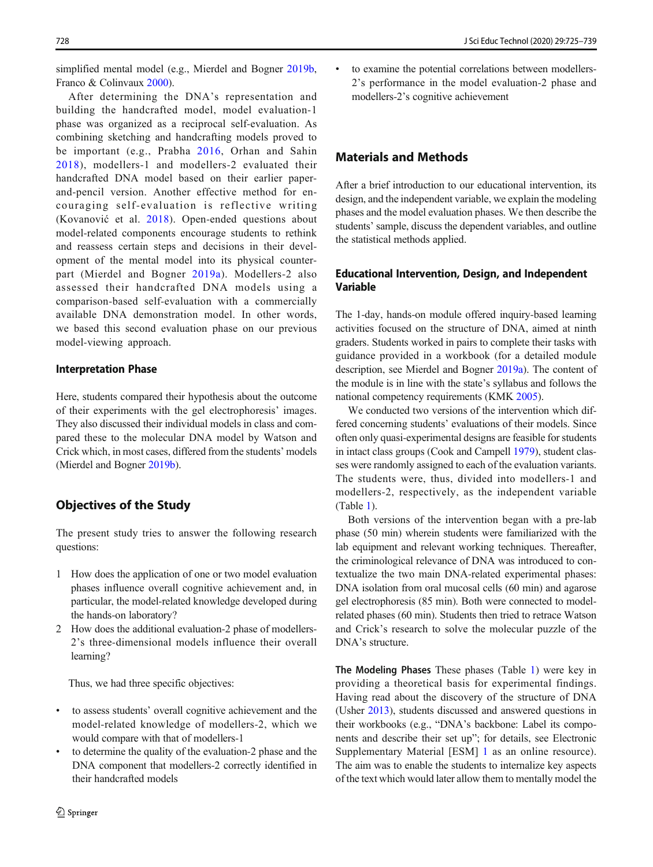simplified mental model (e.g., Mierdel and Bogner [2019b,](#page-14-0) Franco & Colinvaux [2000\)](#page-13-0).

After determining the DNA's representation and building the handcrafted model, model evaluation-1 phase was organized as a reciprocal self-evaluation. As combining sketching and handcrafting models proved to be important (e.g., Prabha [2016,](#page-14-0) Orhan and Sahin [2018\)](#page-14-0), modellers-1 and modellers-2 evaluated their handcrafted DNA model based on their earlier paperand-pencil version. Another effective method for encouraging self-evaluation is reflective writing (Kovanović et al. [2018](#page-13-0)). Open-ended questions about model-related components encourage students to rethink and reassess certain steps and decisions in their development of the mental model into its physical counterpart (Mierdel and Bogner [2019a\)](#page-14-0). Modellers-2 also assessed their handcrafted DNA models using a comparison-based self-evaluation with a commercially available DNA demonstration model. In other words, we based this second evaluation phase on our previous model-viewing approach.

#### Interpretation Phase

Here, students compared their hypothesis about the outcome of their experiments with the gel electrophoresis' images. They also discussed their individual models in class and compared these to the molecular DNA model by Watson and Crick which, in most cases, differed from the students' models (Mierdel and Bogner [2019b\)](#page-14-0).

# Objectives of the Study

The present study tries to answer the following research questions:

- 1 How does the application of one or two model evaluation phases influence overall cognitive achievement and, in particular, the model-related knowledge developed during the hands-on laboratory?
- 2 How does the additional evaluation-2 phase of modellers-2's three-dimensional models influence their overall learning?

Thus, we had three specific objectives:

- to assess students' overall cognitive achievement and the model-related knowledge of modellers-2, which we would compare with that of modellers-1
- to determine the quality of the evaluation-2 phase and the DNA component that modellers-2 correctly identified in their handcrafted models

to examine the potential correlations between modellers-2's performance in the model evaluation-2 phase and modellers-2's cognitive achievement

# Materials and Methods

After a brief introduction to our educational intervention, its design, and the independent variable, we explain the modeling phases and the model evaluation phases. We then describe the students' sample, discuss the dependent variables, and outline the statistical methods applied.

# Educational Intervention, Design, and Independent Variable

The 1-day, hands-on module offered inquiry-based learning activities focused on the structure of DNA, aimed at ninth graders. Students worked in pairs to complete their tasks with guidance provided in a workbook (for a detailed module description, see Mierdel and Bogner [2019a](#page-14-0)). The content of the module is in line with the state's syllabus and follows the national competency requirements (KMK [2005\)](#page-13-0).

We conducted two versions of the intervention which differed concerning students' evaluations of their models. Since often only quasi-experimental designs are feasible for students in intact class groups (Cook and Campell [1979\)](#page-13-0), student classes were randomly assigned to each of the evaluation variants. The students were, thus, divided into modellers-1 and modellers-2, respectively, as the independent variable (Table [1\)](#page-2-0).

Both versions of the intervention began with a pre-lab phase (50 min) wherein students were familiarized with the lab equipment and relevant working techniques. Thereafter, the criminological relevance of DNA was introduced to contextualize the two main DNA-related experimental phases: DNA isolation from oral mucosal cells (60 min) and agarose gel electrophoresis (85 min). Both were connected to modelrelated phases (60 min). Students then tried to retrace Watson and Crick's research to solve the molecular puzzle of the DNA's structure.

The Modeling Phases These phases (Table [1\)](#page-2-0) were key in providing a theoretical basis for experimental findings. Having read about the discovery of the structure of DNA (Usher [2013](#page-14-0)), students discussed and answered questions in their workbooks (e.g., "DNA's backbone: Label its components and describe their set up"; for details, see Electronic Supplementary Material [ESM] 1 as an online resource). The aim was to enable the students to internalize key aspects of the text which would later allow them to mentally model the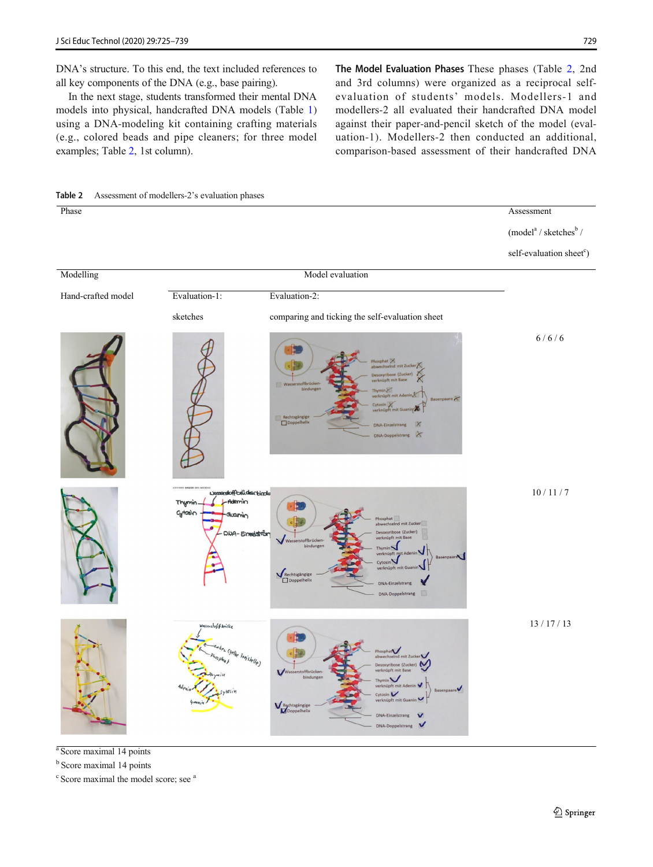<span id="page-4-0"></span>DNA's structure. To this end, the text included references to all key components of the DNA (e.g., base pairing).

In the next stage, students transformed their mental DNA models into physical, handcrafted DNA models (Table [1\)](#page-2-0) using a DNA-modeling kit containing crafting materials (e.g., colored beads and pipe cleaners; for three model examples; Table 2, 1st column).

The Model Evaluation Phases These phases (Table 2, 2nd and 3rd columns) were organized as a reciprocal selfevaluation of students' models. Modellers-1 and modellers-2 all evaluated their handcrafted DNA model against their paper-and-pencil sketch of the model (evaluation-1). Modellers-2 then conducted an additional, comparison-based assessment of their handcrafted DNA



<sup>a</sup> Score maximal 14 points

<sup>b</sup> Score maximal 14 points

<sup>c</sup> Score maximal the model score; see <sup>a</sup>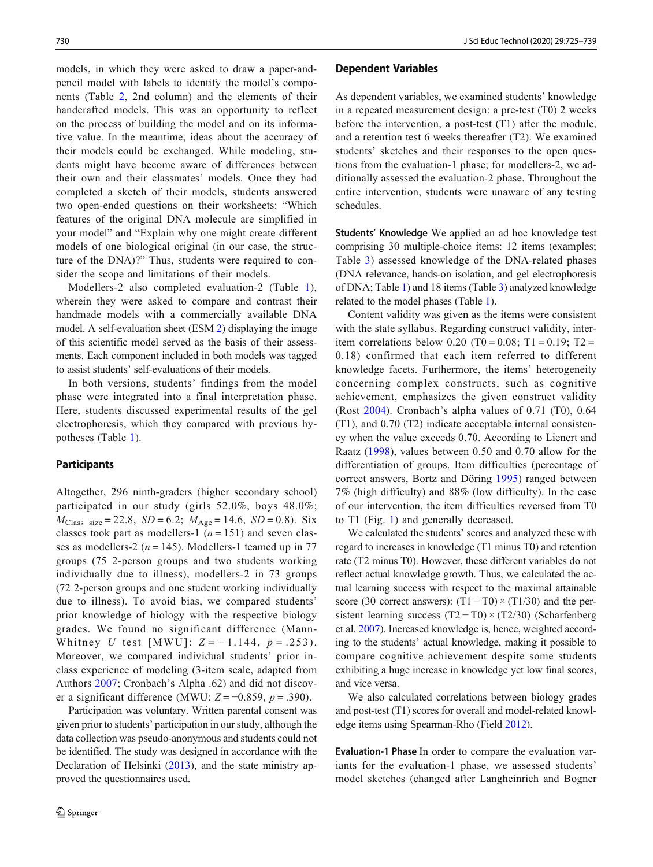models, in which they were asked to draw a paper-andpencil model with labels to identify the model's components (Table [2,](#page-4-0) 2nd column) and the elements of their handcrafted models. This was an opportunity to reflect on the process of building the model and on its informative value. In the meantime, ideas about the accuracy of their models could be exchanged. While modeling, students might have become aware of differences between their own and their classmates' models. Once they had completed a sketch of their models, students answered two open-ended questions on their worksheets: "Which features of the original DNA molecule are simplified in your model" and "Explain why one might create different models of one biological original (in our case, the structure of the DNA)?" Thus, students were required to consider the scope and limitations of their models.

Modellers-2 also completed evaluation-2 (Table [1](#page-2-0)), wherein they were asked to compare and contrast their handmade models with a commercially available DNA model. A self-evaluation sheet (ESM 2) displaying the image of this scientific model served as the basis of their assessments. Each component included in both models was tagged to assist students' self-evaluations of their models.

In both versions, students' findings from the model phase were integrated into a final interpretation phase. Here, students discussed experimental results of the gel electrophoresis, which they compared with previous hypotheses (Table [1](#page-2-0)).

#### **Participants**

Altogether, 296 ninth-graders (higher secondary school) participated in our study (girls 52.0%, boys 48.0%;  $M_{\text{Class size}} = 22.8$ ,  $SD = 6.2$ ;  $M_{\text{Age}} = 14.6$ ,  $SD = 0.8$ ). Six classes took part as modellers-1 ( $n = 151$ ) and seven classes as modellers-2 ( $n = 145$ ). Modellers-1 teamed up in 77 groups (75 2-person groups and two students working individually due to illness), modellers-2 in 73 groups (72 2-person groups and one student working individually due to illness). To avoid bias, we compared students' prior knowledge of biology with the respective biology grades. We found no significant difference (Mann-Whitney U test [MWU]:  $Z = -1.144$ ,  $p = .253$ ). Moreover, we compared individual students' prior inclass experience of modeling (3-item scale, adapted from Authors [2007](#page-14-0); Cronbach's Alpha .62) and did not discover a significant difference (MWU:  $Z = -0.859$ ,  $p = .390$ ).

Participation was voluntary. Written parental consent was given prior to students' participation in our study, although the data collection was pseudo-anonymous and students could not be identified. The study was designed in accordance with the Declaration of Helsinki ([2013\)](#page-13-0), and the state ministry approved the questionnaires used.

#### Dependent Variables

As dependent variables, we examined students' knowledge in a repeated measurement design: a pre-test (T0) 2 weeks before the intervention, a post-test (T1) after the module, and a retention test 6 weeks thereafter (T2). We examined students' sketches and their responses to the open questions from the evaluation-1 phase; for modellers-2, we additionally assessed the evaluation-2 phase. Throughout the entire intervention, students were unaware of any testing schedules.

Students' Knowledge We applied an ad hoc knowledge test comprising 30 multiple-choice items: 12 items (examples; Table [3](#page-6-0)) assessed knowledge of the DNA-related phases (DNA relevance, hands-on isolation, and gel electrophoresis of DNA; Table [1](#page-2-0)) and 18 items (Table [3\)](#page-6-0) analyzed knowledge related to the model phases (Table [1\)](#page-2-0).

Content validity was given as the items were consistent with the state syllabus. Regarding construct validity, interitem correlations below 0.20 (T0 = 0.08; T1 = 0.19; T2 = 0.18) confirmed that each item referred to different knowledge facets. Furthermore, the items' heterogeneity concerning complex constructs, such as cognitive achievement, emphasizes the given construct validity (Rost [2004](#page-14-0)). Cronbach's alpha values of 0.71 (T0), 0.64 (T1), and 0.70 (T2) indicate acceptable internal consistency when the value exceeds 0.70. According to Lienert and Raatz ([1998](#page-13-0)), values between 0.50 and 0.70 allow for the differentiation of groups. Item difficulties (percentage of correct answers, Bortz and Döring [1995\)](#page-13-0) ranged between 7% (high difficulty) and 88% (low difficulty). In the case of our intervention, the item difficulties reversed from T0 to T1 (Fig. [1](#page-7-0)) and generally decreased.

We calculated the students' scores and analyzed these with regard to increases in knowledge (T1 minus T0) and retention rate (T2 minus T0). However, these different variables do not reflect actual knowledge growth. Thus, we calculated the actual learning success with respect to the maximal attainable score (30 correct answers):  $(T1 - T0) \times (T1/30)$  and the persistent learning success (T2 − T0) × (T2/30) (Scharfenberg et al. [2007\)](#page-14-0). Increased knowledge is, hence, weighted according to the students' actual knowledge, making it possible to compare cognitive achievement despite some students exhibiting a huge increase in knowledge yet low final scores, and vice versa.

We also calculated correlations between biology grades and post-test (T1) scores for overall and model-related knowledge items using Spearman-Rho (Field [2012](#page-13-0)).

Evaluation-1 Phase In order to compare the evaluation variants for the evaluation-1 phase, we assessed students' model sketches (changed after Langheinrich and Bogner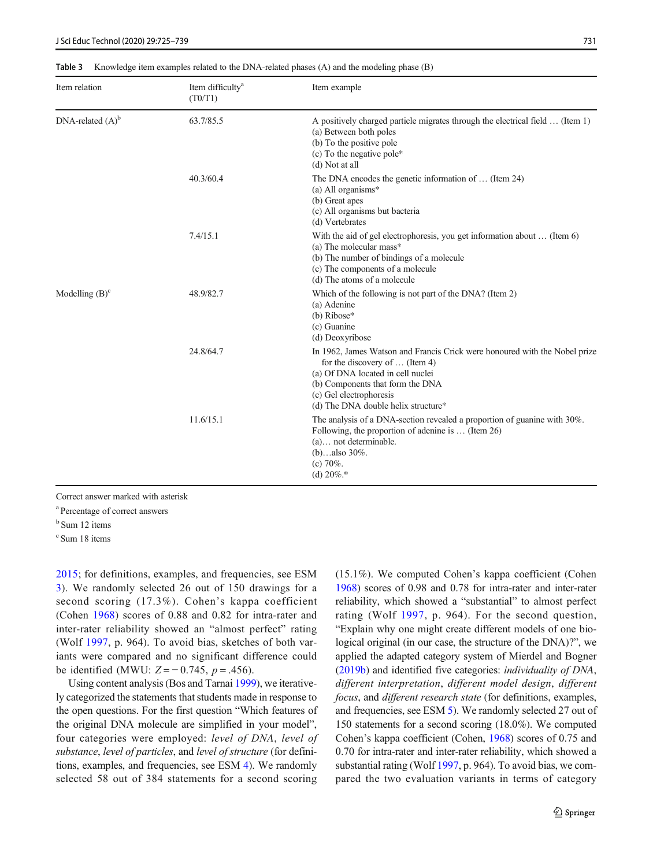| Item relation       | Item difficulty <sup>a</sup><br>(T0/T1) | Item example                                                                                                                                                                                                                                                   |
|---------------------|-----------------------------------------|----------------------------------------------------------------------------------------------------------------------------------------------------------------------------------------------------------------------------------------------------------------|
| DNA-related $(A)^b$ | 63.7/85.5                               | A positively charged particle migrates through the electrical field  (Item 1)<br>(a) Between both poles<br>(b) To the positive pole<br>(c) To the negative pole*<br>(d) Not at all                                                                             |
|                     | 40.3/60.4                               | The DNA encodes the genetic information of $\dots$ (Item 24)<br>(a) All organisms $*$<br>(b) Great apes<br>(c) All organisms but bacteria<br>(d) Vertebrates                                                                                                   |
|                     | 7.4/15.1                                | With the aid of gel electrophoresis, you get information about  (Item 6)<br>(a) The molecular mass*<br>(b) The number of bindings of a molecule<br>(c) The components of a molecule<br>(d) The atoms of a molecule                                             |
| Modelling $(B)^c$   | 48.9/82.7                               | Which of the following is not part of the DNA? (Item 2)<br>(a) Adenine<br>$(b)$ Ribose*<br>(c) Guanine<br>(d) Deoxyribose                                                                                                                                      |
|                     | 24.8/64.7                               | In 1962, James Watson and Francis Crick were honoured with the Nobel prize<br>for the discovery of $\dots$ (Item 4)<br>(a) Of DNA located in cell nuclei<br>(b) Components that form the DNA<br>(c) Gel electrophoresis<br>(d) The DNA double helix structure* |
|                     | 11.6/15.1                               | The analysis of a DNA-section revealed a proportion of guanine with 30%.<br>Following, the proportion of adenine is  (Item 26)<br>$(a)$ not determinable.<br>(b)also $30\%$ .<br>$(c) 70\%$ .<br>(d) $20\%$ .*                                                 |

<span id="page-6-0"></span>Table 3 Knowledge item examples related to the DNA-related phases (A) and the modeling phase (B)

Correct answer marked with asterisk

a Percentage of correct answers

<sup>b</sup> Sum 12 items

c Sum 18 items

[2015](#page-13-0); for definitions, examples, and frequencies, see ESM 3). We randomly selected 26 out of 150 drawings for a second scoring (17.3%). Cohen's kappa coefficient (Cohen [1968\)](#page-13-0) scores of 0.88 and 0.82 for intra-rater and inter-rater reliability showed an "almost perfect" rating (Wolf [1997,](#page-14-0) p. 964). To avoid bias, sketches of both variants were compared and no significant difference could be identified (MWU:  $Z = -0.745$ ,  $p = .456$ ).

Using content analysis (Bos and Tarnai [1999\)](#page-13-0), we iteratively categorized the statements that students made in response to the open questions. For the first question "Which features of the original DNA molecule are simplified in your model", four categories were employed: level of DNA, level of substance, level of particles, and level of structure (for definitions, examples, and frequencies, see ESM 4). We randomly selected 58 out of 384 statements for a second scoring

(15.1%). We computed Cohen's kappa coefficient (Cohen [1968\)](#page-13-0) scores of 0.98 and 0.78 for intra-rater and inter-rater reliability, which showed a "substantial" to almost perfect rating (Wolf [1997](#page-14-0), p. 964). For the second question, "Explain why one might create different models of one biological original (in our case, the structure of the DNA)?", we applied the adapted category system of Mierdel and Bogner [\(2019b\)](#page-14-0) and identified five categories: individuality of DNA, different interpretation, different model design, different focus, and different research state (for definitions, examples, and frequencies, see ESM 5). We randomly selected 27 out of 150 statements for a second scoring (18.0%). We computed Cohen's kappa coefficient (Cohen, [1968\)](#page-13-0) scores of 0.75 and 0.70 for intra-rater and inter-rater reliability, which showed a substantial rating (Wolf [1997](#page-14-0), p. 964). To avoid bias, we compared the two evaluation variants in terms of category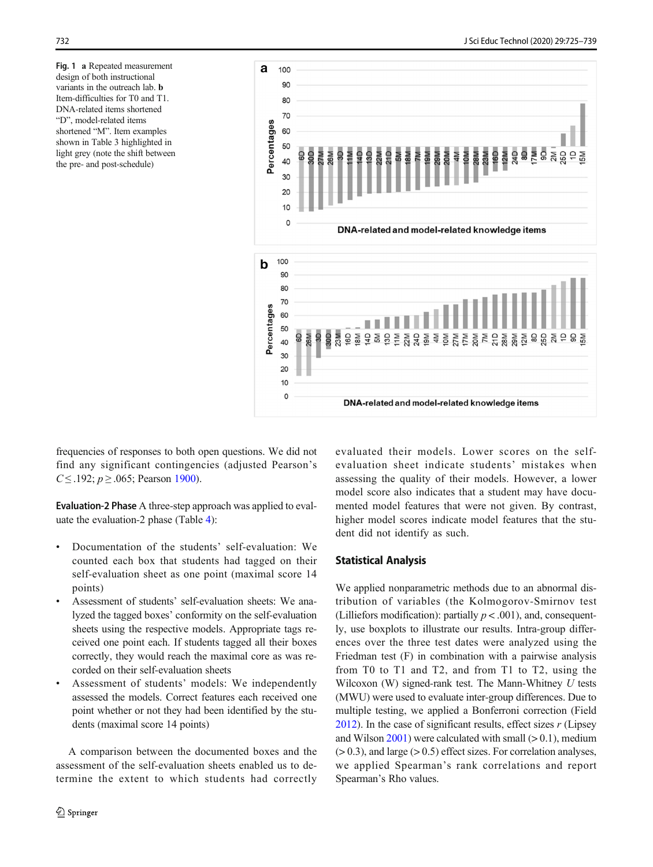<span id="page-7-0"></span>Fig. 1 a Repeated measurement design of both instructional variants in the outreach lab. b Item-difficulties for T0 and T1. DNA-related items shortened "D", model-related items shortened "M". Item examples shown in Table 3 highlighted in light grey (note the shift between the pre- and post-schedule)



frequencies of responses to both open questions. We did not find any significant contingencies (adjusted Pearson's  $C \leq .192$ ;  $p \geq .065$ ; Pearson [1900\)](#page-14-0).

Evaluation-2 Phase A three-step approach was applied to evaluate the evaluation-2 phase (Table [4\)](#page-8-0):

- Documentation of the students' self-evaluation: We counted each box that students had tagged on their self-evaluation sheet as one point (maximal score 14 points)
- & Assessment of students' self-evaluation sheets: We analyzed the tagged boxes' conformity on the self-evaluation sheets using the respective models. Appropriate tags received one point each. If students tagged all their boxes correctly, they would reach the maximal core as was recorded on their self-evaluation sheets
- Assessment of students' models: We independently assessed the models. Correct features each received one point whether or not they had been identified by the students (maximal score 14 points)

A comparison between the documented boxes and the assessment of the self-evaluation sheets enabled us to determine the extent to which students had correctly evaluated their models. Lower scores on the selfevaluation sheet indicate students' mistakes when assessing the quality of their models. However, a lower model score also indicates that a student may have documented model features that were not given. By contrast, higher model scores indicate model features that the student did not identify as such.

#### Statistical Analysis

We applied nonparametric methods due to an abnormal distribution of variables (the Kolmogorov-Smirnov test (Lilliefors modification): partially  $p < .001$ ), and, consequently, use boxplots to illustrate our results. Intra-group differences over the three test dates were analyzed using the Friedman test (F) in combination with a pairwise analysis from T0 to T1 and T2, and from T1 to T2, using the Wilcoxon (W) signed-rank test. The Mann-Whitney  $U$  tests (MWU) were used to evaluate inter-group differences. Due to multiple testing, we applied a Bonferroni correction (Field  $2012$ ). In the case of significant results, effect sizes r (Lipsey and Wilson  $2001$ ) were calculated with small ( $> 0.1$ ), medium  $(> 0.3)$ , and large  $(> 0.5)$  effect sizes. For correlation analyses, we applied Spearman's rank correlations and report Spearman's Rho values.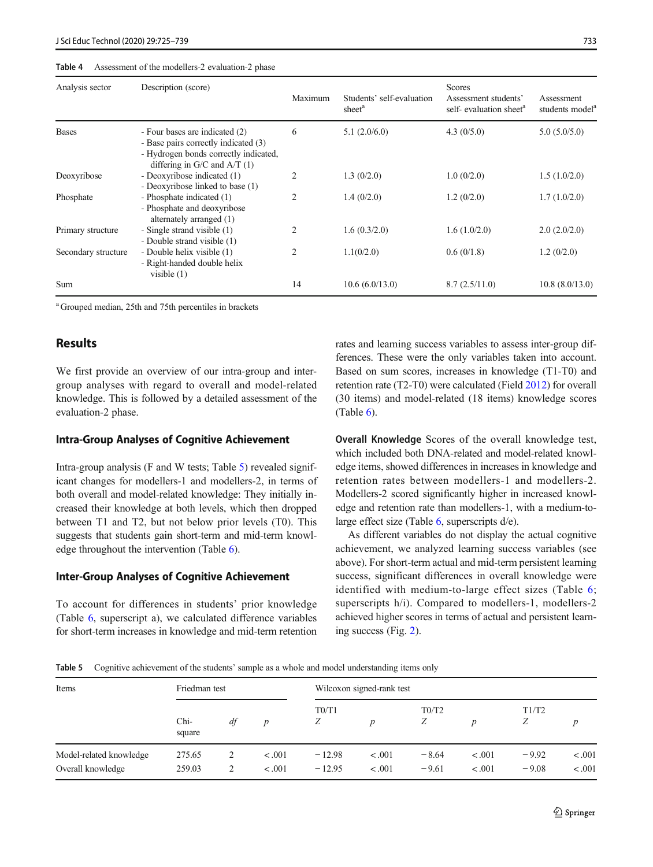#### <span id="page-8-0"></span>Table 4 Assessment of the modellers-2 evaluation-2 phase

| Analysis sector     | Description (score)                                                                                                                                | Maximum        | Students' self-evaluation<br>sheet <sup>a</sup> | <b>Scores</b><br>Assessment students'<br>self- evaluation sheet <sup>a</sup> | Assessment<br>students model <sup>a</sup> |
|---------------------|----------------------------------------------------------------------------------------------------------------------------------------------------|----------------|-------------------------------------------------|------------------------------------------------------------------------------|-------------------------------------------|
| <b>Bases</b>        | - Four bases are indicated (2)<br>- Base pairs correctly indicated (3)<br>- Hydrogen bonds correctly indicated,<br>differing in $G/C$ and $A/T(1)$ | 6              | 5.1(2.0/6.0)                                    | 4.3(0/5.0)                                                                   | 5.0(5.0/5.0)                              |
| Deoxyribose         | - Deoxyribose indicated (1)<br>- Deoxyribose linked to base (1)                                                                                    | 2              | 1.3(0/2.0)                                      | 1.0(0/2.0)                                                                   | 1.5(1.0/2.0)                              |
| Phosphate           | - Phosphate indicated (1)<br>- Phosphate and deoxyribose<br>alternately arranged (1)                                                               | $\overline{c}$ | 1.4(0/2.0)                                      | 1.2(0/2.0)                                                                   | 1.7(1.0/2.0)                              |
| Primary structure   | - Single strand visible (1)<br>- Double strand visible (1)                                                                                         | $\mathfrak{D}$ | 1.6(0.3/2.0)                                    | 1.6(1.0/2.0)                                                                 | 2.0(2.0/2.0)                              |
| Secondary structure | - Double helix visible (1)<br>- Right-handed double helix<br>visible $(1)$                                                                         | $\overline{c}$ | 1.1(0/2.0)                                      | 0.6(0/1.8)                                                                   | 1.2(0/2.0)                                |
| Sum                 |                                                                                                                                                    | 14             | 10.6(6.0/13.0)                                  | 8.7(2.5/11.0)                                                                | 10.8(8.0/13.0)                            |

<sup>a</sup> Grouped median, 25th and 75th percentiles in brackets

# Results

We first provide an overview of our intra-group and intergroup analyses with regard to overall and model-related knowledge. This is followed by a detailed assessment of the evaluation-2 phase.

#### Intra-Group Analyses of Cognitive Achievement

Intra-group analysis (F and W tests; Table 5) revealed significant changes for modellers-1 and modellers-2, in terms of both overall and model-related knowledge: They initially increased their knowledge at both levels, which then dropped between T1 and T2, but not below prior levels (T0). This suggests that students gain short-term and mid-term knowledge throughout the intervention (Table [6\)](#page-9-0).

#### Inter-Group Analyses of Cognitive Achievement

To account for differences in students' prior knowledge (Table [6](#page-9-0), superscript a), we calculated difference variables for short-term increases in knowledge and mid-term retention rates and learning success variables to assess inter-group differences. These were the only variables taken into account. Based on sum scores, increases in knowledge (T1-T0) and retention rate (T2-T0) were calculated (Field [2012\)](#page-13-0) for overall (30 items) and model-related (18 items) knowledge scores (Table  $6$ ).

Overall Knowledge Scores of the overall knowledge test, which included both DNA-related and model-related knowledge items, showed differences in increases in knowledge and retention rates between modellers-1 and modellers-2. Modellers-2 scored significantly higher in increased knowledge and retention rate than modellers-1, with a medium-tolarge effect size (Table  $6$ , superscripts  $d/e$ ).

As different variables do not display the actual cognitive achievement, we analyzed learning success variables (see above). For short-term actual and mid-term persistent learning success, significant differences in overall knowledge were identified with medium-to-large effect sizes (Table [6;](#page-9-0) superscripts h/i). Compared to modellers-1, modellers-2 achieved higher scores in terms of actual and persistent learning success (Fig. [2\)](#page-9-0).

Table 5 Cognitive achievement of the students' sample as a whole and model understanding items only

| Items                                        | Friedman test    |        |                   | Wilcoxon signed-rank test |                    |                    |                  |                    |                  |
|----------------------------------------------|------------------|--------|-------------------|---------------------------|--------------------|--------------------|------------------|--------------------|------------------|
|                                              | Chi-<br>square   | df     | $\boldsymbol{D}$  | T0/T1<br>Ζ                | $\boldsymbol{D}$   | T0/T2<br>Ζ         | $\boldsymbol{D}$ | T1/T2<br>Ζ         | D                |
| Model-related knowledge<br>Overall knowledge | 275.65<br>259.03 | 2<br>2 | $-.001$<br>< .001 | $-12.98$<br>$-12.95$      | $-.001$<br>$-.001$ | $-8.64$<br>$-9.61$ | < .001<br>< .001 | $-9.92$<br>$-9.08$ | < .001<br>< .001 |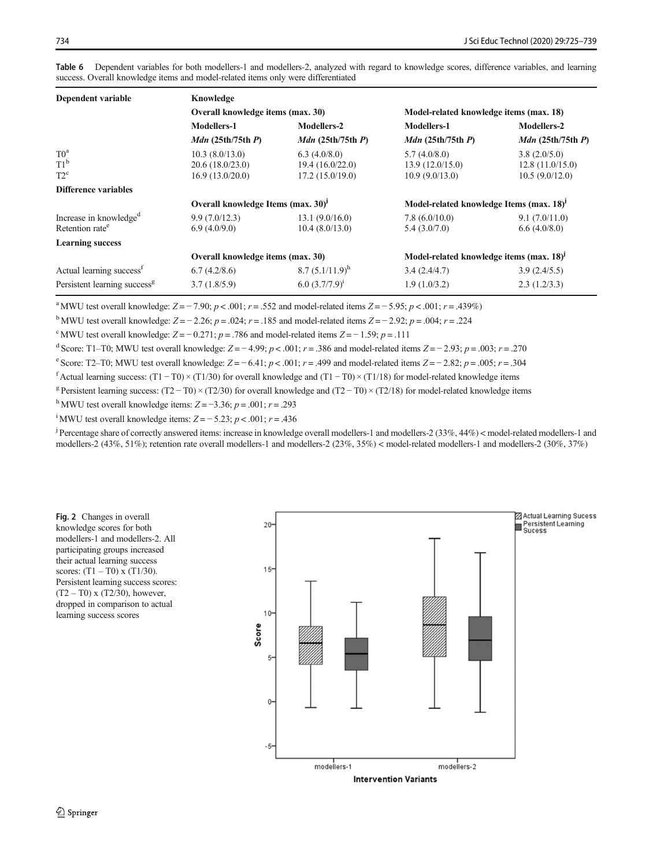| Dependent variable                       | Knowledge                                                                                              |                        |                                                      |                        |  |
|------------------------------------------|--------------------------------------------------------------------------------------------------------|------------------------|------------------------------------------------------|------------------------|--|
|                                          | Overall knowledge items (max. 30)                                                                      |                        | Model-related knowledge items (max. 18)              |                        |  |
|                                          | Modellers-1                                                                                            | Modellers-2            | Modellers-1                                          | Modellers-2            |  |
|                                          | $Mdn$ (25th/75th $P$ )                                                                                 | $Mdn$ (25th/75th $P$ ) | $Mdn$ (25th/75th $P$ )                               | $Mdn$ (25th/75th $P$ ) |  |
| T0 <sup>a</sup>                          | 10.3(8.0/13.0)                                                                                         | 6.3(4.0/8.0)           | 5.7(4.0/8.0)                                         | 3.8(2.0/5.0)           |  |
| $T1^b$                                   | 20.6(18.0/23.0)                                                                                        | 19.4(16.0/22.0)        | 13.9(12.0/15.0)                                      | 12.8(11.0/15.0)        |  |
| $T2^c$                                   | 16.9(13.0/20.0)                                                                                        | 17.2(15.0/19.0)        | 10.9(9.0/13.0)                                       | 10.5(9.0/12.0)         |  |
| Difference variables                     |                                                                                                        |                        |                                                      |                        |  |
|                                          | Overall knowledge Items (max. 30) <sup>j</sup><br>Model-related knowledge Items (max. 18) <sup>J</sup> |                        |                                                      |                        |  |
| Increase in knowledge <sup>d</sup>       | 9.9(7.0/12.3)                                                                                          | 13.1 (9.0/16.0)        | 7.8(6.0/10.0)                                        | 9.1(7.0/11.0)          |  |
| Retention rate <sup>e</sup>              | 6.9(4.0/9.0)                                                                                           | 10.4(8.0/13.0)         | 5.4(3.0/7.0)                                         | 6.6(4.0/8.0)           |  |
| <b>Learning success</b>                  |                                                                                                        |                        |                                                      |                        |  |
|                                          | Overall knowledge items (max. 30)                                                                      |                        | Model-related knowledge items (max. 18) <sup>J</sup> |                        |  |
| Actual learning success <sup>f</sup>     | 6.7(4.2/8.6)                                                                                           | 8.7 $(5.1/11.9)^h$     | 3.4(2.4/4.7)                                         | 3.9(2.4/5.5)           |  |
| Persistent learning success <sup>g</sup> | 3.7(1.8/5.9)                                                                                           | $6.0 (3.7/7.9)^1$      | 1.9(1.0/3.2)                                         | 2.3(1.2/3.3)           |  |
|                                          |                                                                                                        |                        |                                                      |                        |  |

<span id="page-9-0"></span>Table 6 Dependent variables for both modellers-1 and modellers-2, analyzed with regard to knowledge scores, difference variables, and learning success. Overall knowledge items and model-related items only were differentiated

<sup>a</sup> MWU test overall knowledge:  $Z = -7.90$ ;  $p < .001$ ;  $r = .552$  and model-related items  $Z = -5.95$ ;  $p < .001$ ;  $r = .439\%$ )

<sup>b</sup> MWU test overall knowledge:  $Z = -2.26$ ;  $p = .024$ ;  $r = .185$  and model-related items  $Z = -2.92$ ;  $p = .004$ ;  $r = .224$ 

<sup>c</sup> MWU test overall knowledge:  $Z = -0.271$ ;  $p = .786$  and model-related items  $Z = -1.59$ ;  $p = .111$ 

d Score: T1–T0; MWU test overall knowledge:  $Z = -4.99$ ;  $p < .001$ ;  $r = .386$  and model-related items  $Z = -2.93$ ;  $p = .003$ ;  $r = .270$ 

e Score: T2–T0; MWU test overall knowledge:  $Z = -6.41$ ;  $p < .001$ ;  $r = .499$  and model-related items  $Z = -2.82$ ;  $p = .005$ ;  $r = .304$ 

f Actual learning success:  $(T1 - T0) \times (T1/30)$  for overall knowledge and  $(T1 - T0) \times (T1/18)$  for model-related knowledge items

<sup>g</sup> Persistent learning success: (T2 − T0) × (T2/30) for overall knowledge and (T2 − T0) × (T2/18) for model-related knowledge items

h MWU test overall knowledge items:  $Z = -3.36$ ;  $p = .001$ ;  $r = .293$ 

<sup>i</sup> MWU test overall knowledge items:  $Z = -5.23$ ;  $p < .001$ ;  $r = .436$ 

<sup>j</sup> Percentage share of correctly answered items: increase in knowledge overall modellers-1 and modellers-2 (33%, 44%) < model-related modellers-1 and modellers-2 (43%, 51%); retention rate overall modellers-1 and modellers-2 (23%, 35%) < model-related modellers-1 and modellers-2 (30%, 37%)

Fig. 2 Changes in overall knowledge scores for both modellers-1 and modellers-2. All participating groups increased their actual learning success scores:  $(T1 - T0)$  x  $(T1/30)$ . Persistent learning success scores:  $(T2 - T0)$  x  $(T2/30)$ , however, dropped in comparison to actual learning success scores

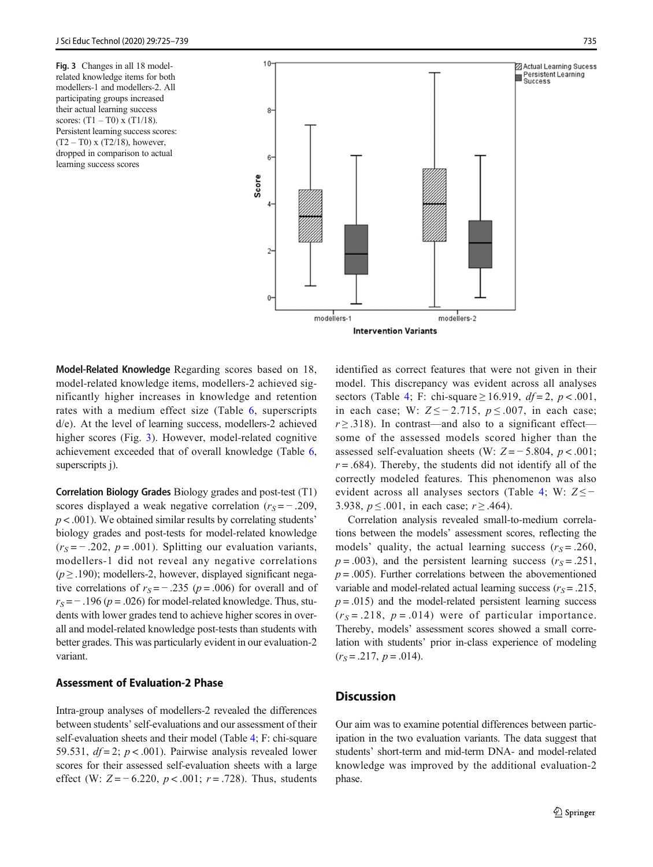Fig. 3 Changes in all 18 modelrelated knowledge items for both modellers-1 and modellers-2. All participating groups increased their actual learning success scores:  $(T1 - T0)$  x  $(T1/18)$ . Persistent learning success scores:  $(T2 - T0)$  x  $(T2/18)$ , however, dropped in comparison to actual learning success scores



Model-Related Knowledge Regarding scores based on 18, model-related knowledge items, modellers-2 achieved significantly higher increases in knowledge and retention rates with a medium effect size (Table [6](#page-9-0), superscripts d/e). At the level of learning success, modellers-2 achieved higher scores (Fig. 3). However, model-related cognitive achievement exceeded that of overall knowledge (Table [6,](#page-9-0) superscripts j).

Correlation Biology Grades Biology grades and post-test (T1) scores displayed a weak negative correlation  $(r<sub>S</sub> = -0.209,$  $p < .001$ ). We obtained similar results by correlating students biology grades and post-tests for model-related knowledge  $(r<sub>S</sub>= -0.202, p = 0.001)$ . Splitting our evaluation variants, modellers-1 did not reveal any negative correlations  $(p \ge 0.190)$ ; modellers-2, however, displayed significant negative correlations of  $r_S = -.235$  ( $p = .006$ ) for overall and of  $r_S = -0.196$  ( $p = 0.026$ ) for model-related knowledge. Thus, students with lower grades tend to achieve higher scores in overall and model-related knowledge post-tests than students with better grades. This was particularly evident in our evaluation-2 variant.

# Assessment of Evaluation-2 Phase

Intra-group analyses of modellers-2 revealed the differences between students' self-evaluations and our assessment of their self-evaluation sheets and their model (Table [4](#page-8-0); F: chi-square 59.531,  $df = 2$ ;  $p < .001$ ). Pairwise analysis revealed lower scores for their assessed self-evaluation sheets with a large effect (W:  $Z = -6.220$ ,  $p < .001$ ;  $r = .728$ ). Thus, students identified as correct features that were not given in their model. This discrepancy was evident across all analyses sectors (Table [4;](#page-8-0) F: chi-square  $\geq$  16.919,  $df = 2$ ,  $p < .001$ , in each case; W:  $Z \le -2.715$ ,  $p \le .007$ , in each case;  $r \geq 0.318$ ). In contrast—and also to a significant effect some of the assessed models scored higher than the assessed self-evaluation sheets (W:  $Z = -5.804$ ,  $p < .001$ ;  $r = .684$ ). Thereby, the students did not identify all of the correctly modeled features. This phenomenon was also evident across all analyses sectors (Table [4;](#page-8-0) W:  $Z \leq -$ 3.938,  $p \le 0.001$ , in each case;  $r \ge 0.464$ ).

Correlation analysis revealed small-to-medium correlations between the models' assessment scores, reflecting the models' quality, the actual learning success  $(r<sub>S</sub> = .260,$  $p = .003$ ), and the persistent learning success ( $r_s = .251$ ,  $p = .005$ ). Further correlations between the abovementioned variable and model-related actual learning success ( $r<sub>S</sub> = .215$ ,  $p = .015$ ) and the model-related persistent learning success  $(r<sub>S</sub>=.218, p=.014)$  were of particular importance. Thereby, models' assessment scores showed a small correlation with students' prior in-class experience of modeling  $(r<sub>S</sub>=.217, p=.014).$ 

# **Discussion**

Our aim was to examine potential differences between participation in the two evaluation variants. The data suggest that students' short-term and mid-term DNA- and model-related knowledge was improved by the additional evaluation-2 phase.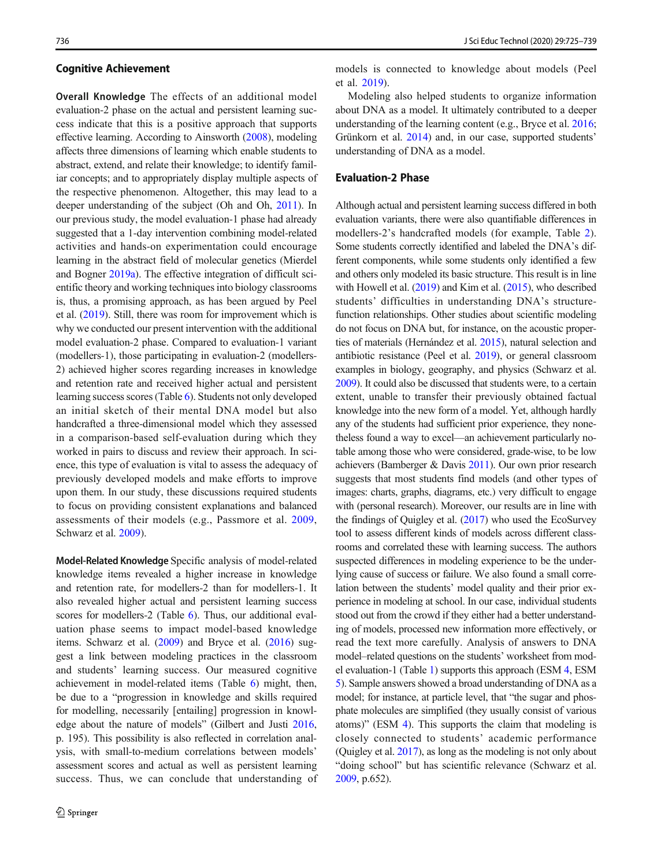#### Cognitive Achievement

Overall Knowledge The effects of an additional model evaluation-2 phase on the actual and persistent learning success indicate that this is a positive approach that supports effective learning. According to Ainsworth ([2008](#page-13-0)), modeling affects three dimensions of learning which enable students to abstract, extend, and relate their knowledge; to identify familiar concepts; and to appropriately display multiple aspects of the respective phenomenon. Altogether, this may lead to a deeper understanding of the subject (Oh and Oh, [2011\)](#page-14-0). In our previous study, the model evaluation-1 phase had already suggested that a 1-day intervention combining model-related activities and hands-on experimentation could encourage learning in the abstract field of molecular genetics (Mierdel and Bogner [2019a](#page-14-0)). The effective integration of difficult scientific theory and working techniques into biology classrooms is, thus, a promising approach, as has been argued by Peel et al. ([2019](#page-14-0)). Still, there was room for improvement which is why we conducted our present intervention with the additional model evaluation-2 phase. Compared to evaluation-1 variant (modellers-1), those participating in evaluation-2 (modellers-2) achieved higher scores regarding increases in knowledge and retention rate and received higher actual and persistent learning success scores (Table [6](#page-9-0)). Students not only developed an initial sketch of their mental DNA model but also handcrafted a three-dimensional model which they assessed in a comparison-based self-evaluation during which they worked in pairs to discuss and review their approach. In science, this type of evaluation is vital to assess the adequacy of previously developed models and make efforts to improve upon them. In our study, these discussions required students to focus on providing consistent explanations and balanced assessments of their models (e.g., Passmore et al. [2009,](#page-14-0) Schwarz et al. [2009](#page-14-0)).

Model-Related Knowledge Specific analysis of model-related knowledge items revealed a higher increase in knowledge and retention rate, for modellers-2 than for modellers-1. It also revealed higher actual and persistent learning success scores for modellers-2 (Table [6\)](#page-9-0). Thus, our additional evaluation phase seems to impact model-based knowledge items. Schwarz et al. [\(2009\)](#page-14-0) and Bryce et al. [\(2016\)](#page-13-0) suggest a link between modeling practices in the classroom and students' learning success. Our measured cognitive achievement in model-related items (Table [6](#page-9-0)) might, then, be due to a "progression in knowledge and skills required for modelling, necessarily [entailing] progression in knowledge about the nature of models" (Gilbert and Justi [2016,](#page-13-0) p. 195). This possibility is also reflected in correlation analysis, with small-to-medium correlations between models' assessment scores and actual as well as persistent learning success. Thus, we can conclude that understanding of

models is connected to knowledge about models (Peel et al. [2019\)](#page-14-0).

Modeling also helped students to organize information about DNA as a model. It ultimately contributed to a deeper understanding of the learning content (e.g., Bryce et al. [2016;](#page-13-0) Grünkorn et al. [2014\)](#page-13-0) and, in our case, supported students' understanding of DNA as a model.

#### Evaluation-2 Phase

Although actual and persistent learning success differed in both evaluation variants, there were also quantifiable differences in modellers-2's handcrafted models (for example, Table [2](#page-4-0)). Some students correctly identified and labeled the DNA's different components, while some students only identified a few and others only modeled its basic structure. This result is in line with Howell et al. [\(2019](#page-13-0)) and Kim et al. [\(2015](#page-13-0)), who described students' difficulties in understanding DNA's structurefunction relationships. Other studies about scientific modeling do not focus on DNA but, for instance, on the acoustic properties of materials (Hernández et al. [2015](#page-13-0)), natural selection and antibiotic resistance (Peel et al. [2019\)](#page-14-0), or general classroom examples in biology, geography, and physics (Schwarz et al. [2009](#page-14-0)). It could also be discussed that students were, to a certain extent, unable to transfer their previously obtained factual knowledge into the new form of a model. Yet, although hardly any of the students had sufficient prior experience, they nonetheless found a way to excel—an achievement particularly notable among those who were considered, grade-wise, to be low achievers (Bamberger & Davis [2011\)](#page-13-0). Our own prior research suggests that most students find models (and other types of images: charts, graphs, diagrams, etc.) very difficult to engage with (personal research). Moreover, our results are in line with the findings of Quigley et al. [\(2017](#page-14-0)) who used the EcoSurvey tool to assess different kinds of models across different classrooms and correlated these with learning success. The authors suspected differences in modeling experience to be the underlying cause of success or failure. We also found a small correlation between the students' model quality and their prior experience in modeling at school. In our case, individual students stood out from the crowd if they either had a better understanding of models, processed new information more effectively, or read the text more carefully. Analysis of answers to DNA model–related questions on the students' worksheet from model evaluation-1 (Table [1](#page-2-0)) supports this approach (ESM 4, ESM 5). Sample answers showed a broad understanding of DNA as a model; for instance, at particle level, that "the sugar and phosphate molecules are simplified (they usually consist of various atoms)" (ESM 4). This supports the claim that modeling is closely connected to students' academic performance (Quigley et al. [2017\)](#page-14-0), as long as the modeling is not only about "doing school" but has scientific relevance (Schwarz et al. [2009](#page-14-0), p.652).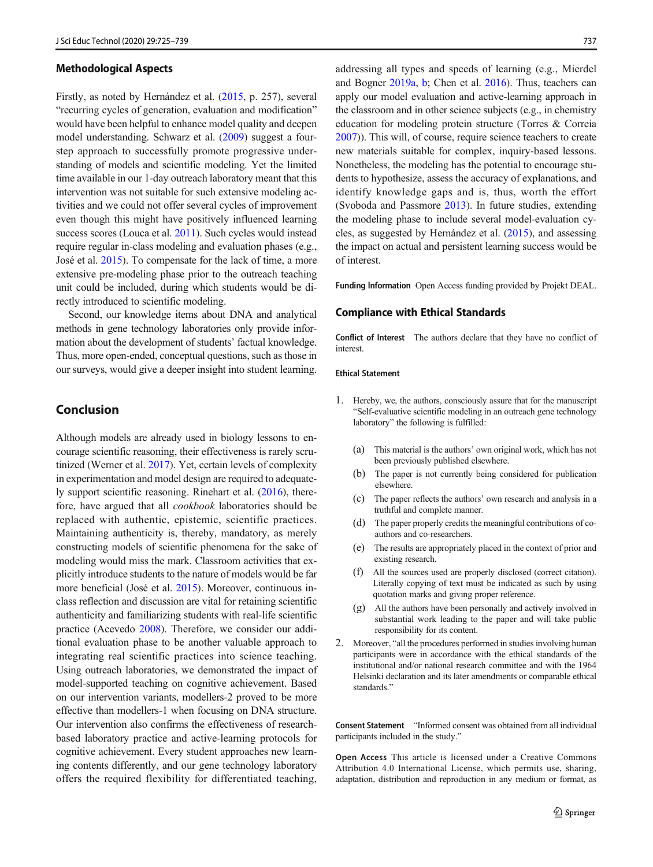#### Methodological Aspects

Firstly, as noted by Hernández et al. [\(2015,](#page-13-0) p. 257), several "recurring cycles of generation, evaluation and modification" would have been helpful to enhance model quality and deepen model understanding. Schwarz et al. [\(2009\)](#page-14-0) suggest a fourstep approach to successfully promote progressive understanding of models and scientific modeling. Yet the limited time available in our 1-day outreach laboratory meant that this intervention was not suitable for such extensive modeling activities and we could not offer several cycles of improvement even though this might have positively influenced learning success scores (Louca et al. [2011\)](#page-14-0). Such cycles would instead require regular in-class modeling and evaluation phases (e.g., José et al. [2015\)](#page-13-0). To compensate for the lack of time, a more extensive pre-modeling phase prior to the outreach teaching unit could be included, during which students would be directly introduced to scientific modeling.

Second, our knowledge items about DNA and analytical methods in gene technology laboratories only provide information about the development of students' factual knowledge. Thus, more open-ended, conceptual questions, such as those in our surveys, would give a deeper insight into student learning.

### Conclusion

Although models are already used in biology lessons to encourage scientific reasoning, their effectiveness is rarely scrutinized (Werner et al. [2017\)](#page-14-0). Yet, certain levels of complexity in experimentation and model design are required to adequately support scientific reasoning. Rinehart et al. [\(2016\)](#page-14-0), therefore, have argued that all cookbook laboratories should be replaced with authentic, epistemic, scientific practices. Maintaining authenticity is, thereby, mandatory, as merely constructing models of scientific phenomena for the sake of modeling would miss the mark. Classroom activities that explicitly introduce students to the nature of models would be far more beneficial (José et al. [2015](#page-13-0)). Moreover, continuous inclass reflection and discussion are vital for retaining scientific authenticity and familiarizing students with real-life scientific practice (Acevedo [2008\)](#page-13-0). Therefore, we consider our additional evaluation phase to be another valuable approach to integrating real scientific practices into science teaching. Using outreach laboratories, we demonstrated the impact of model-supported teaching on cognitive achievement. Based on our intervention variants, modellers-2 proved to be more effective than modellers-1 when focusing on DNA structure. Our intervention also confirms the effectiveness of researchbased laboratory practice and active-learning protocols for cognitive achievement. Every student approaches new learning contents differently, and our gene technology laboratory offers the required flexibility for differentiated teaching,

addressing all types and speeds of learning (e.g., Mierdel and Bogner [2019a](#page-14-0), [b;](#page-14-0) Chen et al. [2016\)](#page-13-0). Thus, teachers can apply our model evaluation and active-learning approach in the classroom and in other science subjects (e.g., in chemistry education for modeling protein structure (Torres & Correia [2007\)](#page-14-0)). This will, of course, require science teachers to create new materials suitable for complex, inquiry-based lessons. Nonetheless, the modeling has the potential to encourage students to hypothesize, assess the accuracy of explanations, and identify knowledge gaps and is, thus, worth the effort (Svoboda and Passmore [2013](#page-14-0)). In future studies, extending the modeling phase to include several model-evaluation cycles, as suggested by Hernández et al. ([2015](#page-13-0)), and assessing the impact on actual and persistent learning success would be of interest.

Funding lnformation Open Access funding provided by Projekt DEAL.

#### Compliance with Ethical Standards

Conflict of Interest The authors declare that they have no conflict of interest.

#### Ethical Statement

- 1. Hereby, we, the authors, consciously assure that for the manuscript "Self-evaluative scientific modeling in an outreach gene technology laboratory" the following is fulfilled:
	- (a) This material is the authors' own original work, which has not been previously published elsewhere.
	- (b) The paper is not currently being considered for publication elsewhere.
	- (c) The paper reflects the authors' own research and analysis in a truthful and complete manner.
	- (d) The paper properly credits the meaningful contributions of coauthors and co-researchers.
	- (e) The results are appropriately placed in the context of prior and existing research.
	- (f) All the sources used are properly disclosed (correct citation). Literally copying of text must be indicated as such by using quotation marks and giving proper reference.
	- (g) All the authors have been personally and actively involved in substantial work leading to the paper and will take public responsibility for its content.
- 2. Moreover, "all the procedures performed in studies involving human participants were in accordance with the ethical standards of the institutional and/or national research committee and with the 1964 Helsinki declaration and its later amendments or comparable ethical standards."

Consent Statement "Informed consent was obtained from all individual participants included in the study."

Open Access This article is licensed under a Creative Commons Attribution 4.0 International License, which permits use, sharing, adaptation, distribution and reproduction in any medium or format, as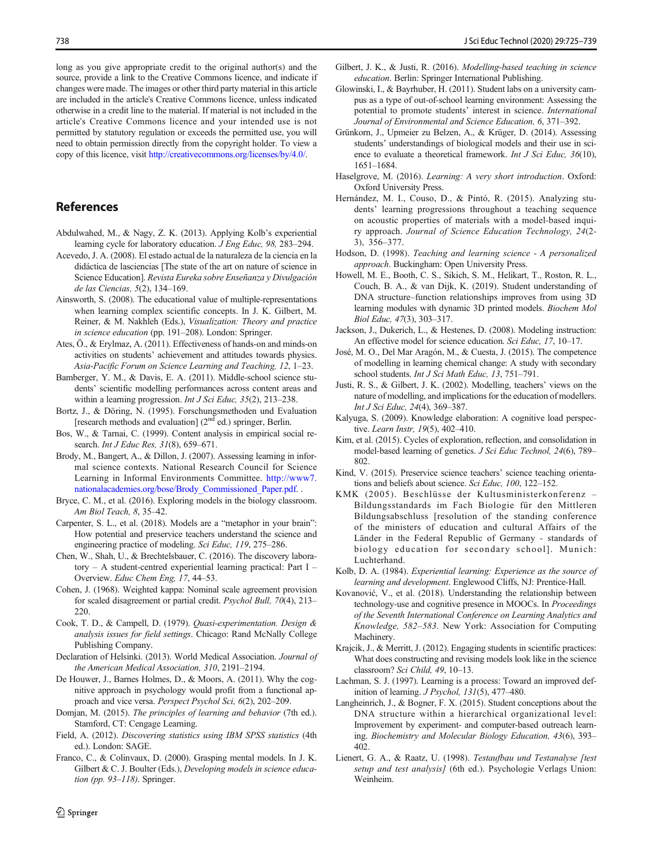<span id="page-13-0"></span>long as you give appropriate credit to the original author(s) and the source, provide a link to the Creative Commons licence, and indicate if changes were made. The images or other third party material in this article are included in the article's Creative Commons licence, unless indicated otherwise in a credit line to the material. If material is not included in the article's Creative Commons licence and your intended use is not permitted by statutory regulation or exceeds the permitted use, you will need to obtain permission directly from the copyright holder. To view a copy of this licence, visit [http://creativecommons.org/licenses/by/4.0/.](https://doi.org/)

## References

- Abdulwahed, M., & Nagy, Z. K. (2013). Applying Kolb's experiential learning cycle for laboratory education. J Eng Educ, 98, 283–294.
- Acevedo, J. A. (2008). El estado actual de la naturaleza de la ciencia en la didáctica de lasciencias [The state of the art on nature of science in Science Education]. Revista Eureka sobre Enseñanza y Divulgación de las Ciencias, 5(2), 134–169.
- Ainsworth, S. (2008). The educational value of multiple-representations when learning complex scientific concepts. In J. K. Gilbert, M. Reiner, & M. Nakhleh (Eds.), Visualization: Theory and practice in science education (pp. 191–208). London: Springer.
- Ates, Ö., & Erylmaz, A. (2011). Effectiveness of hands-on and minds-on activities on students' achievement and attitudes towards physics. Asia-Pacific Forum on Science Learning and Teaching, 12, 1–23.
- Bamberger, Y. M., & Davis, E. A. (2011). Middle-school science students' scientific modelling performances across content areas and within a learning progression. Int J Sci Educ, 35(2), 213-238.
- Bortz, J., & Döring, N. (1995). Forschungsmethoden und Evaluation [research methods and evaluation]  $(2<sup>nd</sup>$  ed.) springer, Berlin.
- Bos, W., & Tarnai, C. (1999). Content analysis in empirical social research. Int J Educ Res, 31(8), 659-671.
- Brody, M., Bangert, A., & Dillon, J. (2007). Assessing learning in informal science contexts. National Research Council for Science Learning in Informal Environments Committee. [http://www7.](http://www7.nationalacademies.org/bose/Brody_Commissioned_Paper.pdf) [nationalacademies.org/bose/Brody\\_Commissioned\\_Paper.pdf](http://www7.nationalacademies.org/bose/Brody_Commissioned_Paper.pdf). .
- Bryce, C. M., et al. (2016). Exploring models in the biology classroom. Am Biol Teach, 8, 35–42.
- Carpenter, S. L., et al. (2018). Models are a "metaphor in your brain": How potential and preservice teachers understand the science and engineering practice of modeling. Sci Educ, 119, 275–286.
- Chen, W., Shah, U., & Brechtelsbauer, C. (2016). The discovery laboratory – A student-centred experiential learning practical: Part I – Overview. Educ Chem Eng, 17, 44–53.
- Cohen, J. (1968). Weighted kappa: Nominal scale agreement provision for scaled disagreement or partial credit. Psychol Bull, 70(4), 213– 220.
- Cook, T. D., & Campell, D. (1979). Quasi-experimentation. Design & analysis issues for field settings. Chicago: Rand McNally College Publishing Company.
- Declaration of Helsinki. (2013). World Medical Association. Journal of the American Medical Association, 310, 2191–2194.
- De Houwer, J., Barnes Holmes, D., & Moors, A. (2011). Why the cognitive approach in psychology would profit from a functional approach and vice versa. Perspect Psychol Sci, 6(2), 202-209.
- Domjan, M. (2015). The principles of learning and behavior (7th ed.). Stamford, CT: Cengage Learning.
- Field, A. (2012). Discovering statistics using IBM SPSS statistics (4th ed.). London: SAGE.
- Franco, C., & Colinvaux, D. (2000). Grasping mental models. In J. K. Gilbert & C. J. Boulter (Eds.), Developing models in science education (pp. 93–118). Springer.
- Gilbert, J. K., & Justi, R. (2016). Modelling-based teaching in science education. Berlin: Springer International Publishing.
- Glowinski, I., & Bayrhuber, H. (2011). Student labs on a university campus as a type of out-of-school learning environment: Assessing the potential to promote students' interest in science. International Journal of Environmental and Science Education, 6, 371–392.
- Grünkorn, J., Upmeier zu Belzen, A., & Krüger, D. (2014). Assessing students' understandings of biological models and their use in science to evaluate a theoretical framework. Int J Sci Educ, 36(10), 1651–1684.
- Haselgrove, M. (2016). Learning: A very short introduction. Oxford: Oxford University Press.
- Hernández, M. I., Couso, D., & Pintó, R. (2015). Analyzing students' learning progressions throughout a teaching sequence on acoustic properties of materials with a model-based inquiry approach. Journal of Science Education Technology, 24(2- 3), 356–377.
- Hodson, D. (1998). Teaching and learning science A personalized approach. Buckingham: Open University Press.
- Howell, M. E., Booth, C. S., Sikich, S. M., Helikart, T., Roston, R. L., Couch, B. A., & van Dijk, K. (2019). Student understanding of DNA structure–function relationships improves from using 3D learning modules with dynamic 3D printed models. Biochem Mol Biol Educ, 47(3), 303–317.
- Jackson, J., Dukerich, L., & Hestenes, D. (2008). Modeling instruction: An effective model for science education. Sci Educ, 17, 10–17.
- José, M. O., Del Mar Aragón, M., & Cuesta, J. (2015). The competence of modelling in learning chemical change: A study with secondary school students. Int J Sci Math Educ, 13, 751–791.
- Justi, R. S., & Gilbert, J. K. (2002). Modelling, teachers' views on the nature of modelling, and implications for the education of modellers. Int J Sci Educ, 24(4), 369–387.
- Kalyuga, S. (2009). Knowledge elaboration: A cognitive load perspective. Learn Instr, 19(5), 402–410.
- Kim, et al. (2015). Cycles of exploration, reflection, and consolidation in model-based learning of genetics. J Sci Educ Technol, 24(6), 789– 802.
- Kind, V. (2015). Preservice science teachers' science teaching orientations and beliefs about science. Sci Educ, 100, 122-152.
- KMK (2005). Beschlüsse der Kultusministerkonferenz Bildungsstandards im Fach Biologie für den Mittleren Bildungsabschluss [resolution of the standing conference of the ministers of education and cultural Affairs of the Länder in the Federal Republic of Germany - standards of biology education for secondary school]. Munich: Luchterhand.
- Kolb, D. A. (1984). Experiential learning: Experience as the source of learning and development. Englewood Cliffs, NJ: Prentice-Hall.
- Kovanović, V., et al. (2018). Understanding the relationship between technology-use and cognitive presence in MOOCs. In Proceedings of the Seventh International Conference on Learning Analytics and Knowledge, 582–583. New York: Association for Computing Machinery.
- Krajcik, J., & Merritt, J. (2012). Engaging students in scientific practices: What does constructing and revising models look like in the science classroom? Sci Child, 49, 10–13.
- Lachman, S. J. (1997). Learning is a process: Toward an improved definition of learning. J Psychol, 131(5), 477–480.
- Langheinrich, J., & Bogner, F. X. (2015). Student conceptions about the DNA structure within a hierarchical organizational level: Improvement by experiment- and computer-based outreach learning. Biochemistry and Molecular Biology Education, 43(6), 393– 402.
- Lienert, G. A., & Raatz, U. (1998). Testaufbau und Testanalyse [test setup and test analysis] (6th ed.). Psychologie Verlags Union: Weinheim.